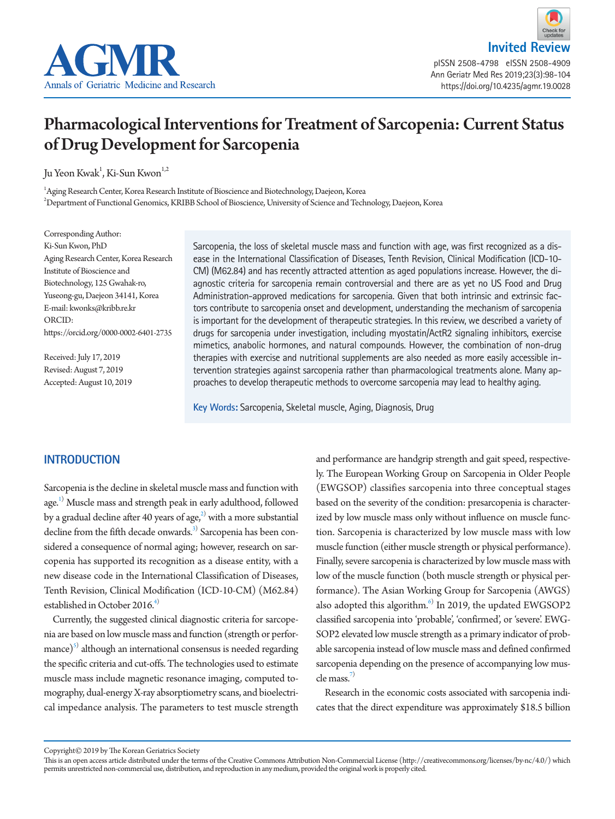



Ann Geriatr Med Res 2019;23(3):98-104 https://doi.org/10.4235/agmr.19.0028

# Pharmacological Interventions for Treatment of Sarcopenia: Current Status of Drug Development for Sarcopenia

Ju Yeon Kwak<sup>1</sup>, Ki-Sun Kwon<sup>1,2</sup>

 $^{\rm 1}$ Aging Research Center, Korea Research Institute of Bioscience and Biotechnology, Daejeon, Korea 2 Department of Functional Genomics, KRIBB School of Bioscience, University of Science and Technology, Daejeon, Korea

Corresponding Author: Ki-Sun Kwon, PhD Aging Research Center, Korea Research Institute of Bioscience and Biotechnology, 125 Gwahak-ro, Yuseong-gu, Daejeon 34141, Korea E-mail: kwonks@kribb.re.kr ORCID: [https://orcid.org/0000-0002-6401-2735](https://orcid.org/0000-0002-8825-6259)

Received: July 17, 2019 Revised: August 7, 2019 Accepted: August 10, 2019 Sarcopenia, the loss of skeletal muscle mass and function with age, was first recognized as a disease in the International Classification of Diseases, Tenth Revision, Clinical Modification (ICD-10- CM) (M62.84) and has recently attracted attention as aged populations increase. However, the diagnostic criteria for sarcopenia remain controversial and there are as yet no US Food and Drug Administration-approved medications for sarcopenia. Given that both intrinsic and extrinsic factors contribute to sarcopenia onset and development, understanding the mechanism of sarcopenia is important for the development of therapeutic strategies. In this review, we described a variety of drugs for sarcopenia under investigation, including myostatin/ActR2 signaling inhibitors, exercise mimetics, anabolic hormones, and natural compounds. However, the combination of non-drug therapies with exercise and nutritional supplements are also needed as more easily accessible intervention strategies against sarcopenia rather than pharmacological treatments alone. Many approaches to develop therapeutic methods to overcome sarcopenia may lead to healthy aging.

**Key Words:** Sarcopenia, Skeletal muscle, Aging, Diagnosis, Drug

## **INTRODUCTION**

Sarcopenia is the decline in skeletal muscle mass and function with age.<sup>[1](#page-4-0))</sup> Muscle mass and strength peak in early adulthood, followed by a gradual decline after 40 years of age, $^2$  with a more substantial decline from the fifth decade onwards.<sup>3)</sup> Sarcopenia has been considered a consequence of normal aging; however, research on sarcopenia has supported its recognition as a disease entity, with a new disease code in the International Classification of Diseases, Tenth Revision, Clinical Modification (ICD-10-CM) (M62.84) established in October 2016.<sup>4)</sup>

Currently, the suggested clinical diagnostic criteria for sarcopenia are based on low muscle mass and function (strength or performance) $^{5)}$  although an international consensus is needed regarding the specific criteria and cut-offs. The technologies used to estimate muscle mass include magnetic resonance imaging, computed tomography, dual-energy X-ray absorptiometry scans, and bioelectrical impedance analysis. The parameters to test muscle strength and performance are handgrip strength and gait speed, respectively. The European Working Group on Sarcopenia in Older People (EWGSOP) classifies sarcopenia into three conceptual stages based on the severity of the condition: presarcopenia is characterized by low muscle mass only without influence on muscle function. Sarcopenia is characterized by low muscle mass with low muscle function (either muscle strength or physical performance). Finally, severe sarcopenia is characterized by low muscle mass with low of the muscle function (both muscle strength or physical performance). The Asian Working Group for Sarcopenia (AWGS) also adopted this algorithm.<sup>[6\)](#page-4-5)</sup> In 2019, the updated EWGSOP2 classified sarcopenia into 'probable', 'confirmed', or 'severe'. EWG-SOP2 elevated low muscle strength as a primary indicator of probable sarcopenia instead of low muscle mass and defined confirmed sarcopenia depending on the presence of accompanying low muscle mass.[7\)](#page-4-6)

Research in the economic costs associated with sarcopenia indicates that the direct expenditure was approximately \$18.5 billion

Copyright© 2019 by The Korean Geriatrics Society

This is an open access article distributed under the terms of the Creative Commons Attribution Non-Commercial License (http://creativecommons.org/licenses/by-nc/4.0/) which permits unrestricted non-commercial use, distribution, and reproduction in any medium, provided the original work is properly cited.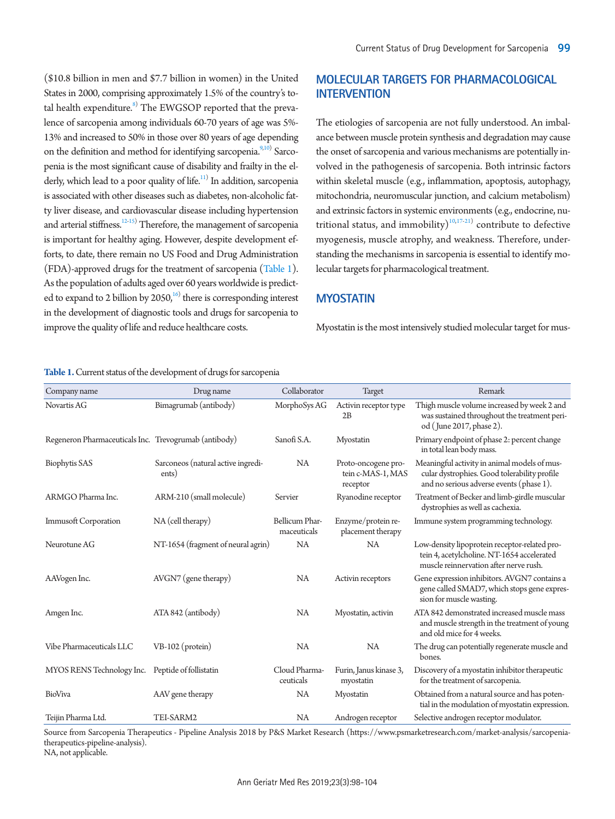(\$10.8 billion in men and \$7.7 billion in women) in the United States in 2000, comprising approximately 1.5% of the country's total health expenditure. $^{\textrm{\tiny{8)}}}$  The EWGSOP reported that the prevalence of sarcopenia among individuals 60-70 years of age was 5%- 13% and increased to 50% in those over 80 years of age depending on the definition and method for identifying sarcopenia.<sup>[9](#page-4-8)[,10\)](#page-4-9)</sup> Sarcopenia is the most significant cause of disability and frailty in the elderly, which lead to a poor quality of life.<sup>11)</sup> In addition, sarcopenia is associated with other diseases such as diabetes, non-alcoholic fatty liver disease, and cardiovascular disease including hypertension and arterial stiffness.<sup>[12](#page-4-11)[-15](#page-5-0)</sup>) Therefore, the management of sarcopenia is important for healthy aging. However, despite development efforts, to date, there remain no US Food and Drug Administration (FDA)-approved drugs for the treatment of sarcopenia [\(Table 1\)](#page-1-0). As the population of adults aged over 60 years worldwide is predicted to expand to 2 billion by  $2050<sub>i</sub><sup>16)</sup>$  there is corresponding interest in the development of diagnostic tools and drugs for sarcopenia to improve the quality of life and reduce healthcare costs.

#### <span id="page-1-0"></span>**Table 1.** Current status of the development of drugs for sarcopenia

| Company name                                          | Drug name                                   | Collaborator                  | <b>Target</b>                                        | Remark                                                                                                                                   |
|-------------------------------------------------------|---------------------------------------------|-------------------------------|------------------------------------------------------|------------------------------------------------------------------------------------------------------------------------------------------|
| Novartis AG                                           | Bimagrumab (antibody)                       | MorphoSys AG                  | Activin receptor type<br>2B                          | Thigh muscle volume increased by week 2 and<br>was sustained throughout the treatment peri-<br>od (June 2017, phase 2).                  |
| Regeneron Pharmaceuticals Inc. Trevogrumab (antibody) |                                             | Sanofi S.A.                   | Myostatin                                            | Primary endpoint of phase 2: percent change<br>in total lean body mass.                                                                  |
| <b>Biophytis SAS</b>                                  | Sarconeos (natural active ingredi-<br>ents) | <b>NA</b>                     | Proto-oncogene pro-<br>tein c-MAS-1, MAS<br>receptor | Meaningful activity in animal models of mus-<br>cular dystrophies. Good tolerability profile<br>and no serious adverse events (phase 1). |
| ARMGO Pharma Inc.                                     | ARM-210 (small molecule)                    | Servier                       | Ryanodine receptor                                   | Treatment of Becker and limb-girdle muscular<br>dystrophies as well as cachexia.                                                         |
| <b>Immusoft Corporation</b>                           | NA (cell therapy)                           | Bellicum Phar-<br>maceuticals | Enzyme/protein re-<br>placement therapy              | Immune system programming technology.                                                                                                    |
| Neurotune AG                                          | NT-1654 (fragment of neural agrin)          | <b>NA</b>                     | NA                                                   | Low-density lipoprotein receptor-related pro-<br>tein 4, acetylcholine. NT-1654 accelerated<br>muscle reinnervation after nerve rush.    |
| AAVogen Inc.                                          | $AVGN7$ (gene therapy)                      | <b>NA</b>                     | Activin receptors                                    | Gene expression inhibitors. AVGN7 contains a<br>gene called SMAD7, which stops gene expres-<br>sion for muscle wasting.                  |
| Amgen Inc.                                            | ATA 842 (antibody)                          | <b>NA</b>                     | Myostatin, activin                                   | ATA 842 demonstrated increased muscle mass<br>and muscle strength in the treatment of young<br>and old mice for 4 weeks.                 |
| Vibe Pharmaceuticals LLC                              | $VB-102$ (protein)                          | <b>NA</b>                     | <b>NA</b>                                            | The drug can potentially regenerate muscle and<br>bones.                                                                                 |
| MYOS RENS Technology Inc.                             | Peptide of follistatin                      | Cloud Pharma-<br>ceuticals    | Furin, Janus kinase 3,<br>myostatin                  | Discovery of a myostatin inhibitor therapeutic<br>for the treatment of sarcopenia.                                                       |
| BioViva                                               | AAV gene therapy                            | <b>NA</b>                     | Myostatin                                            | Obtained from a natural source and has poten-<br>tial in the modulation of myostatin expression.                                         |
| Teijin Pharma Ltd.                                    | TEI-SARM2                                   | <b>NA</b>                     | Androgen receptor                                    | Selective androgen receptor modulator.                                                                                                   |

Source from Sarcopenia Therapeutics - Pipeline Analysis 2018 by P&S Market Research (https://www.psmarketresearch.com/market-analysis/sarcopeniatherapeutics-pipeline-analysis).

NA, not applicable.

# **MOLECULAR TARGETS FOR PHARMACOLOGICAL INTERVENTION**

The etiologies of sarcopenia are not fully understood. An imbalance between muscle protein synthesis and degradation may cause the onset of sarcopenia and various mechanisms are potentially involved in the pathogenesis of sarcopenia. Both intrinsic factors within skeletal muscle (e.g., inflammation, apoptosis, autophagy, mitochondria, neuromuscular junction, and calcium metabolism) and extrinsic factors in systemic environments (e.g., endocrine, nutritional status, and immobility) $10,17-21$  $10,17-21$  $10,17-21$  contribute to defective myogenesis, muscle atrophy, and weakness. Therefore, understanding the mechanisms in sarcopenia is essential to identify molecular targets for pharmacological treatment.

## **MYOSTATIN**

Myostatin is the most intensively studied molecular target for mus-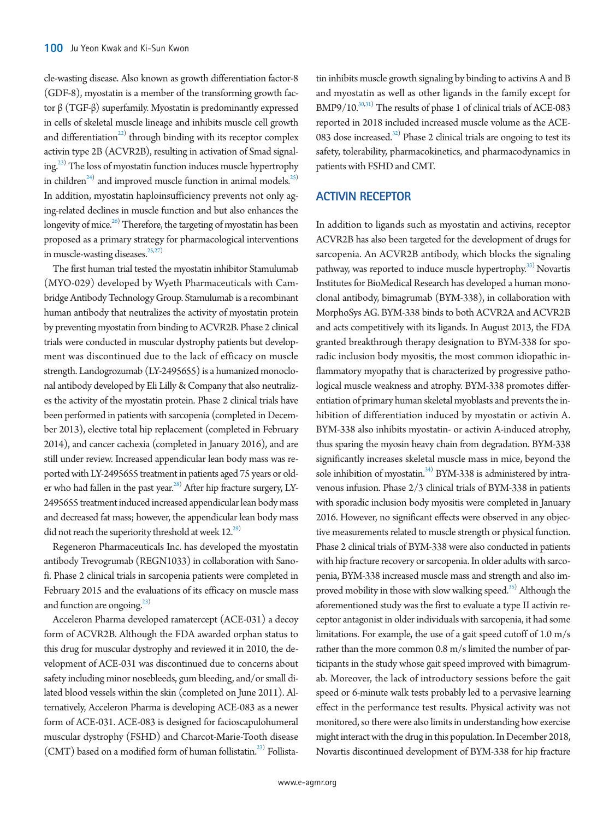cle-wasting disease. Also known as growth differentiation factor-8 (GDF-8), myostatin is a member of the transforming growth factor β (TGF-β) superfamily. Myostatin is predominantly expressed in cells of skeletal muscle lineage and inhibits muscle cell growth and differentiation $^{22)}$  through binding with its receptor complex activin type 2B (ACVR2B), resulting in activation of Smad signaling.<sup>23)</sup> The loss of myostatin function induces muscle hypertrophy in children<sup>[24](#page-5-6))</sup> and improved muscle function in animal models.<sup>25)</sup> In addition, myostatin haploinsufficiency prevents not only aging-related declines in muscle function and but also enhances the longevity of mice.<sup>26)</sup> Therefore, the targeting of myostatin has been proposed as a primary strategy for pharmacological interventions in muscle-wasting diseases. $25,27$  $25,27$ )

The first human trial tested the myostatin inhibitor Stamulumab (MYO-029) developed by Wyeth Pharmaceuticals with Cambridge Antibody Technology Group. Stamulumab is a recombinant human antibody that neutralizes the activity of myostatin protein by preventing myostatin from binding to ACVR2B. Phase 2 clinical trials were conducted in muscular dystrophy patients but development was discontinued due to the lack of efficacy on muscle strength. Landogrozumab (LY-2495655) is a humanized monoclonal antibody developed by Eli Lilly & Company that also neutralizes the activity of the myostatin protein. Phase 2 clinical trials have been performed in patients with sarcopenia (completed in December 2013), elective total hip replacement (completed in February 2014), and cancer cachexia (completed in January 2016), and are still under review. Increased appendicular lean body mass was reported with LY-2495655 treatment in patients aged 75 years or older who had fallen in the past year.<sup>28)</sup> After hip fracture surgery, LY-2495655 treatment induced increased appendicular lean body mass and decreased fat mass; however, the appendicular lean body mass did not reach the superiority threshold at week  $12^{29}$  $12^{29}$  $12^{29}$ .

Regeneron Pharmaceuticals Inc. has developed the myostatin antibody Trevogrumab (REGN1033) in collaboration with Sanofi. Phase 2 clinical trials in sarcopenia patients were completed in February 2015 and the evaluations of its efficacy on muscle mass and function are ongoing. $^{23)}$ 

Acceleron Pharma developed ramatercept (ACE-031) a decoy form of ACVR2B. Although the FDA awarded orphan status to this drug for muscular dystrophy and reviewed it in 2010, the development of ACE-031 was discontinued due to concerns about safety including minor nosebleeds, gum bleeding, and/or small dilated blood vessels within the skin (completed on June 2011). Alternatively, Acceleron Pharma is developing ACE-083 as a newer form of ACE-031. ACE-083 is designed for facioscapulohumeral muscular dystrophy (FSHD) and Charcot-Marie-Tooth disease (CMT) based on a modified form of human follistatin.<sup>[23](#page-5-5))</sup> Follistatin inhibits muscle growth signaling by binding to activins A and B and myostatin as well as other ligands in the family except for BMP9/10.<sup>30[,31](#page-5-13)</sup>) The results of phase 1 of clinical trials of ACE-083 reported in 2018 included increased muscle volume as the ACE-083 dose increased. $32$  Phase 2 clinical trials are ongoing to test its safety, tolerability, pharmacokinetics, and pharmacodynamics in patients with FSHD and CMT.

## **ACTIVIN RECEPTOR**

In addition to ligands such as myostatin and activins, receptor ACVR2B has also been targeted for the development of drugs for sarcopenia. An ACVR2B antibody, which blocks the signaling pathway, was reported to induce muscle hypertrophy.<sup>33)</sup> Novartis Institutes for BioMedical Research has developed a human monoclonal antibody, bimagrumab (BYM-338), in collaboration with MorphoSys AG. BYM-338 binds to both ACVR2A and ACVR2B and acts competitively with its ligands. In August 2013, the FDA granted breakthrough therapy designation to BYM-338 for sporadic inclusion body myositis, the most common idiopathic inflammatory myopathy that is characterized by progressive pathological muscle weakness and atrophy. BYM-338 promotes differentiation of primary human skeletal myoblasts and prevents the inhibition of differentiation induced by myostatin or activin A. BYM-338 also inhibits myostatin- or activin A-induced atrophy, thus sparing the myosin heavy chain from degradation. BYM-338 significantly increases skeletal muscle mass in mice, beyond the sole inhibition of myostatin.<sup>[34](#page-5-16))</sup> BYM-338 is administered by intravenous infusion. Phase 2/3 clinical trials of BYM-338 in patients with sporadic inclusion body myositis were completed in January 2016. However, no significant effects were observed in any objective measurements related to muscle strength or physical function. Phase 2 clinical trials of BYM-338 were also conducted in patients with hip fracture recovery or sarcopenia. In older adults with sarcopenia, BYM-338 increased muscle mass and strength and also im-proved mobility in those with slow walking speed.<sup>[35](#page-5-17))</sup> Although the aforementioned study was the first to evaluate a type II activin receptor antagonist in older individuals with sarcopenia, it had some limitations. For example, the use of a gait speed cutoff of 1.0 m/s rather than the more common 0.8 m/s limited the number of participants in the study whose gait speed improved with bimagrumab. Moreover, the lack of introductory sessions before the gait speed or 6-minute walk tests probably led to a pervasive learning effect in the performance test results. Physical activity was not monitored, so there were also limits in understanding how exercise might interact with the drug in this population. In December 2018, Novartis discontinued development of BYM-338 for hip fracture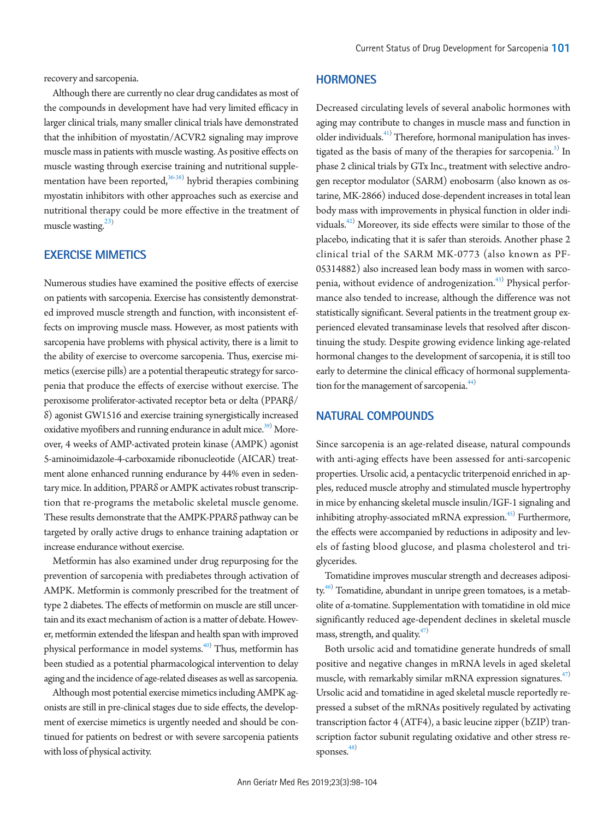recovery and sarcopenia.

Although there are currently no clear drug candidates as most of the compounds in development have had very limited efficacy in larger clinical trials, many smaller clinical trials have demonstrated that the inhibition of myostatin/ACVR2 signaling may improve muscle mass in patients with muscle wasting. As positive effects on muscle wasting through exercise training and nutritional supple-mentation have been reported,<sup>[36](#page-5-18)[-38\)](#page-5-19)</sup> hybrid therapies combining myostatin inhibitors with other approaches such as exercise and nutritional therapy could be more effective in the treatment of muscle wasting. $^{23)}$  $^{23)}$  $^{23)}$ 

# **EXERCISE MIMETICS**

Numerous studies have examined the positive effects of exercise on patients with sarcopenia. Exercise has consistently demonstrated improved muscle strength and function, with inconsistent effects on improving muscle mass. However, as most patients with sarcopenia have problems with physical activity, there is a limit to the ability of exercise to overcome sarcopenia. Thus, exercise mimetics (exercise pills) are a potential therapeutic strategy for sarcopenia that produce the effects of exercise without exercise. The peroxisome proliferator-activated receptor beta or delta (PPARβ/ δ) agonist GW1516 and exercise training synergistically increased oxidative myofibers and running endurance in adult mice.<sup>[39](#page-5-21))</sup> Moreover, 4 weeks of AMP-activated protein kinase (AMPK) agonist 5-aminoimidazole-4-carboxamide ribonucleotide (AICAR) treatment alone enhanced running endurance by 44% even in sedentary mice. In addition, PPARδ or AMPK activates robust transcription that re-programs the metabolic skeletal muscle genome. These results demonstrate that the AMPK-PPARδ pathway can be targeted by orally active drugs to enhance training adaptation or increase endurance without exercise.

Metformin has also examined under drug repurposing for the prevention of sarcopenia with prediabetes through activation of AMPK. Metformin is commonly prescribed for the treatment of type 2 diabetes. The effects of metformin on muscle are still uncertain and its exact mechanism of action is a matter of debate. However, metformin extended the lifespan and health span with improved physical performance in model systems.<sup>[40\)](#page-5-22)</sup> Thus, metformin has been studied as a potential pharmacological intervention to delay aging and the incidence of age-related diseases as well as sarcopenia.

Although most potential exercise mimetics including AMPK agonists are still in pre-clinical stages due to side effects, the development of exercise mimetics is urgently needed and should be continued for patients on bedrest or with severe sarcopenia patients with loss of physical activity.

### **HORMONES**

Decreased circulating levels of several anabolic hormones with aging may contribute to changes in muscle mass and function in older individuals.<sup>[41](#page-5-23)</sup> Therefore, hormonal manipulation has inves-tigated as the basis of many of the therapies for sarcopenia.<sup>[5](#page-4-3))</sup> In phase 2 clinical trials by GTx Inc., treatment with selective androgen receptor modulator (SARM) enobosarm (also known as ostarine, MK-2866) induced dose-dependent increases in total lean body mass with improvements in physical function in older indi-viduals.<sup>[42](#page-6-0))</sup> Moreover, its side effects were similar to those of the placebo, indicating that it is safer than steroids. Another phase 2 clinical trial of the SARM MK-0773 (also known as PF-05314882) also increased lean body mass in women with sarco-penia, without evidence of androgenization.<sup>[43\)](#page-6-1)</sup> Physical performance also tended to increase, although the difference was not statistically significant. Several patients in the treatment group experienced elevated transaminase levels that resolved after discontinuing the study. Despite growing evidence linking age-related hormonal changes to the development of sarcopenia, it is still too early to determine the clinical efficacy of hormonal supplementation for the management of sarcopenia.<sup>44)</sup>

## **NATURAL COMPOUNDS**

Since sarcopenia is an age-related disease, natural compounds with anti-aging effects have been assessed for anti-sarcopenic properties. Ursolic acid, a pentacyclic triterpenoid enriched in apples, reduced muscle atrophy and stimulated muscle hypertrophy in mice by enhancing skeletal muscle insulin/IGF-1 signaling and inhibiting atrophy-associated mRNA expression.<sup>45)</sup> Furthermore, the effects were accompanied by reductions in adiposity and levels of fasting blood glucose, and plasma cholesterol and triglycerides.

Tomatidine improves muscular strength and decreases adiposi-ty.<sup>[46](#page-6-4))</sup> Tomatidine, abundant in unripe green tomatoes, is a metabolite of α-tomatine. Supplementation with tomatidine in old mice significantly reduced age-dependent declines in skeletal muscle mass, strength, and quality. $47$ 

Both ursolic acid and tomatidine generate hundreds of small positive and negative changes in mRNA levels in aged skeletal muscle, with remarkably similar mRNA expression signatures.<sup>[47](#page-6-5))</sup> Ursolic acid and tomatidine in aged skeletal muscle reportedly repressed a subset of the mRNAs positively regulated by activating transcription factor 4 (ATF4), a basic leucine zipper (bZIP) transcription factor subunit regulating oxidative and other stress responses. $48$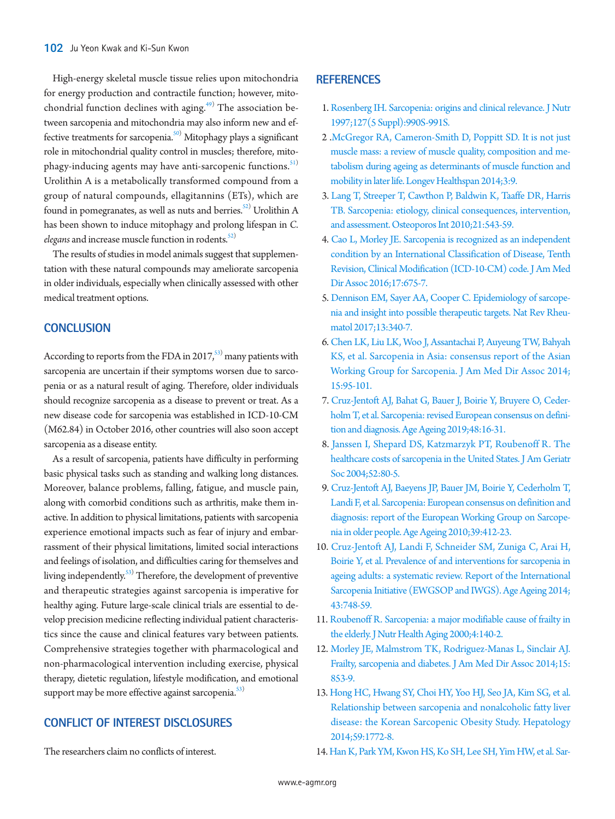High-energy skeletal muscle tissue relies upon mitochondria for energy production and contractile function; however, mito-chondrial function declines with aging.<sup>[49](#page-6-7))</sup> The association between sarcopenia and mitochondria may also inform new and effective treatments for sarcopenia.<sup>50)</sup> Mitophagy plays a significant role in mitochondrial quality control in muscles; therefore, mitophagy-inducing agents may have anti-sarcopenic functions. $51$ ) Urolithin A is a metabolically transformed compound from a group of natural compounds, ellagitannins (ETs), which are found in pomegranates, as well as nuts and berries. $^{52)}$  Urolithin A has been shown to induce mitophagy and prolong lifespan in *C. elegans* and increase muscle function in rodents.<sup>[52](#page-6-6))</sup>

The results of studies in model animals suggest that supplementation with these natural compounds may ameliorate sarcopenia in older individuals, especially when clinically assessed with other medical treatment options.

### **CONCLUSION**

According to reports from the FDA in 2017, $^{53)}$  $^{53)}$  $^{53)}$  many patients with sarcopenia are uncertain if their symptoms worsen due to sarcopenia or as a natural result of aging. Therefore, older individuals should recognize sarcopenia as a disease to prevent or treat. As a new disease code for sarcopenia was established in ICD-10-CM (M62.84) in October 2016, other countries will also soon accept sarcopenia as a disease entity.

As a result of sarcopenia, patients have difficulty in performing basic physical tasks such as standing and walking long distances. Moreover, balance problems, falling, fatigue, and muscle pain, along with comorbid conditions such as arthritis, make them inactive. In addition to physical limitations, patients with sarcopenia experience emotional impacts such as fear of injury and embarrassment of their physical limitations, limited social interactions and feelings of isolation, and difficulties caring for themselves and living independently.<sup>[53](#page-6-11))</sup> Therefore, the development of preventive and therapeutic strategies against sarcopenia is imperative for healthy aging. Future large-scale clinical trials are essential to develop precision medicine reflecting individual patient characteristics since the cause and clinical features vary between patients. Comprehensive strategies together with pharmacological and non-pharmacological intervention including exercise, physical therapy, dietetic regulation, lifestyle modification, and emotional support may be more effective against sarcopenia. $\frac{53}{3}$  $\frac{53}{3}$  $\frac{53}{3}$ 

# **CONFLICT OF INTEREST DISCLOSURES**

The researchers claim no conflicts of interest.

### **REFERENCES**

- <span id="page-4-0"></span>1. [Rosenberg IH. Sarcopenia: origins and clinical relevance. J Nutr](https://doi.org/10.1093/jn/127.5.990S)  [1997;127\(5 Suppl\):990S-991S.](https://doi.org/10.1093/jn/127.5.990S)
- <span id="page-4-1"></span>2 [.McGregor RA, Cameron-Smith D, Poppitt SD. It is not just](https://doi.org/10.1186/2046-2395-3-9)  [muscle mass: a review of muscle quality, composition and me](https://doi.org/10.1186/2046-2395-3-9)[tabolism during ageing as determinants of muscle function and](https://doi.org/10.1186/2046-2395-3-9)  [mobility in later life. Longev Healthspan 2014;3:9.](https://doi.org/10.1186/2046-2395-3-9)
- <span id="page-4-2"></span>3. [Lang T, Streeper T, Cawthon P, Baldwin K, Taaffe DR, Harris](https://doi.org/10.1007/s00198-009-1059-y)  [TB. Sarcopenia: etiology, clinical consequences, intervention,](https://doi.org/10.1007/s00198-009-1059-y)  [and assessment. Osteoporos Int 2010;21:543-59.](https://doi.org/10.1007/s00198-009-1059-y)
- <span id="page-4-3"></span>4. Cao L, Morl[ey JE. Sarcopenia is recognized as an independent](https://doi.org/10.1016/j.jamda.2016.06.001)  [condition by an International Classification of Disease, Tenth](https://doi.org/10.1016/j.jamda.2016.06.001)  [Revision, Clinical Modification \(ICD-10-CM\) code. J Am Med](https://doi.org/10.1016/j.jamda.2016.06.001)  [Dir Assoc 2016;17:675-7.](https://doi.org/10.1016/j.jamda.2016.06.001)
- <span id="page-4-4"></span>5. [Dennison EM, Sayer AA, Cooper C. Epidemiology of sarcope](https://doi.org/10.1038/nrrheum.2017.60)[nia and insight into possible therapeutic targets. Nat Rev Rheu](https://doi.org/10.1038/nrrheum.2017.60)[matol 2017;13:340-7.](https://doi.org/10.1038/nrrheum.2017.60)
- <span id="page-4-5"></span>6. Chen LK, Liu LK, [Woo J, Assantachai P, Auyeung TW, Bahyah](https://doi.org/10.1016/j.jamda.2013.11.025)  [KS, et al. Sarcopenia in Asia: consensus report of the Asian](https://doi.org/10.1016/j.jamda.2013.11.025)  [Working Group for Sarcopenia. J Am Med Dir Assoc 2014;](https://doi.org/10.1016/j.jamda.2013.11.025) [15:95-101.](https://doi.org/10.1016/j.jamda.2013.11.025)
- <span id="page-4-6"></span>7[. Cruz-Jentoft AJ, Bahat G, Bauer J, Boirie Y, Bruyere O, Ceder](https://doi.org/10.1093/ageing/afy169)[holm T, et al. Sarcopenia: revised European consensus on defini](https://doi.org/10.1093/ageing/afy169)[tion and diagnosis. Age Ageing 2019;48:16-31.](https://doi.org/10.1093/ageing/afy169)
- <span id="page-4-7"></span>8[. Janssen I, Shepard DS, Katzmarzyk PT, Roubenoff R. The](https://doi.org/10.1111/j.1532-5415.2004.52014.x)  [healthcare costs of sarcopenia in the United States. J Am Geriatr](https://doi.org/10.1111/j.1532-5415.2004.52014.x)  [Soc 2004;52:80-5](https://doi.org/10.1111/j.1532-5415.2004.52014.x).
- <span id="page-4-8"></span>9[. Cruz-Jentoft AJ, Baeyens JP, Bauer JM, Boirie Y, Cederholm T,](https://doi.org/10.1093/ageing/afq034)  [Landi F, et al. Sarcopenia: European consensus on definition and](https://doi.org/10.1093/ageing/afq034)  [diagnosis: report of the European Working Group on Sarcope](https://doi.org/10.1093/ageing/afq034)[nia in older people. Age Ageing 2010;39:412-23](https://doi.org/10.1093/ageing/afq034).
- <span id="page-4-9"></span>10. [Cruz-Jentoft AJ, Landi F, Schneider SM, Zuniga C, Arai H,](https://doi.org/10.1093/ageing/afu115)  [Boirie Y, et al. Prevalence of and interventions for sarcopenia in](https://doi.org/10.1093/ageing/afu115)  [ageing adults: a systematic review. Report of the International](https://doi.org/10.1093/ageing/afu115)  [Sarcopenia Initiative \(EWGSOP and IWGS\). Age Ageing 2014;](https://doi.org/10.1093/ageing/afu115) [43:748-59.](https://doi.org/10.1093/ageing/afu115)
- <span id="page-4-10"></span>11[. Roubenoff R. Sarcopenia: a major modifiable cause of frailty in](https://www.ncbi.nlm.nih.gov/pubmed/10936900)  [the elderly. J Nutr Health Aging 2000;4:140-2](https://www.ncbi.nlm.nih.gov/pubmed/10936900).
- <span id="page-4-11"></span>12[. Morley JE, Malmstrom TK, Rodriguez-Manas L, Sinclair AJ.](https://doi.org/10.1016/j.jamda.2014.10.001)  [Frailty, sarcopenia and diabetes. J Am Med Dir Assoc 2014;15:](https://doi.org/10.1016/j.jamda.2014.10.001) [853-9.](https://doi.org/10.1016/j.jamda.2014.10.001)
- 13. [Hong HC, Hwang SY, Choi HY, Yoo HJ, Seo JA, Kim SG, et al.](https://doi.org/10.1002/hep.26716)  [Relationship between sarcopenia and nonalcoholic fatty liver](https://doi.org/10.1002/hep.26716)  [disease: the Korean Sarcopenic Obesity Study. Hepatology](https://doi.org/10.1002/hep.26716)  [2014;59:1772-8.](https://doi.org/10.1002/hep.26716)
- 14. [Han K, Park YM, Kwon HS, Ko SH, Lee SH, Yim HW, et al. Sar-](https://doi.org/10.1371/journal.pone.0086902)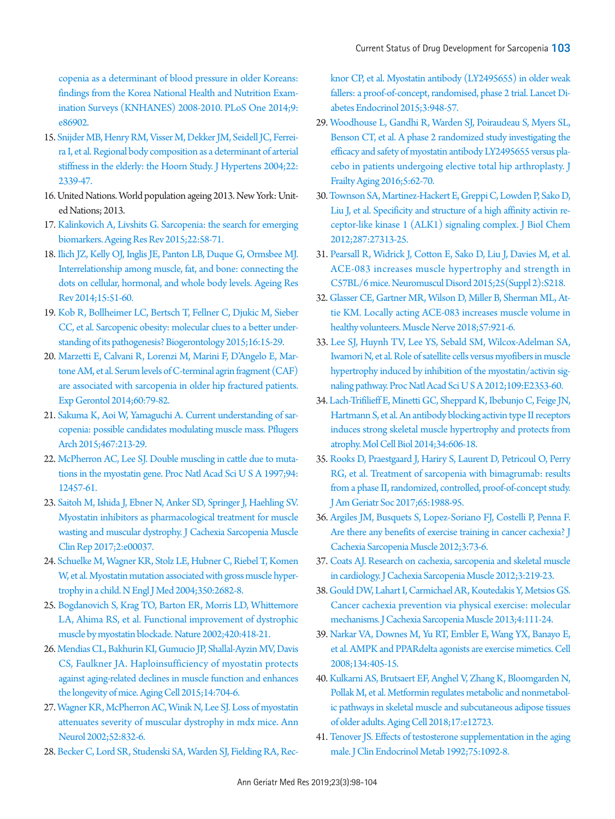[copenia as a determinant of blood pressure in older Koreans:](https://doi.org/10.1371/journal.pone.0086902)  [findings from the Korea National Health and Nutrition Exam](https://doi.org/10.1371/journal.pone.0086902)[ination Surveys \(KNHANES\) 2008-2010. PLoS One 2014;9:](https://doi.org/10.1371/journal.pone.0086902) [e86902.](https://doi.org/10.1371/journal.pone.0086902)

- <span id="page-5-0"></span>1[5. Snijder MB, Henry RM, Visser M, Dekker JM, Seidell JC, Ferrei](https://doi.org/10.1097/00004872-200412000-00016)[ra I, et al. Regional body composition as a determinant of arterial](https://doi.org/10.1097/00004872-200412000-00016)  [stiffness in the elderly: the Hoorn Study. J Hypertens 2004;22:](https://doi.org/10.1097/00004872-200412000-00016) [2339-47](https://doi.org/10.1097/00004872-200412000-00016).
- <span id="page-5-1"></span>16. United Nations. World population ageing 2013. New York: United Nations; 2013.
- <span id="page-5-2"></span>1[7. Kalinkovich A, Livshits G. Sarcopenia: the search for emerging](https://doi.org/10.1016/j.arr.2015.05.001)  [biomarkers. Ageing Res Rev 2015;22:58-71.](https://doi.org/10.1016/j.arr.2015.05.001)
- 18. [Ilich JZ, Kelly OJ, Inglis JE, Panton LB, Duque G, Ormsbee MJ.](https://doi.org/10.1016/j.arr.2014.02.007)  [Interrelationship among muscle, fat, and bone: connecting the](https://doi.org/10.1016/j.arr.2014.02.007)  [dots on cellular, hormonal, and whole body levels. Ageing Res](https://doi.org/10.1016/j.arr.2014.02.007)  [Rev 2014;15:51-60.](https://doi.org/10.1016/j.arr.2014.02.007)
- <span id="page-5-20"></span>1[9. Kob R, Bollheimer LC, Bertsch T, Fellner C, Djukic M, Sieber](https://doi.org/10.1007/s10522-014-9539-7)  [CC, et al. Sarcopenic obesity: molecular clues to a better under](https://doi.org/10.1007/s10522-014-9539-7)[standing of its pathogenesis? Biogerontology 2015;16:15-29.](https://doi.org/10.1007/s10522-014-9539-7)
- 20. [Marzetti E, Calvani R, Lorenzi M, Marini F, D'Angelo E, Mar](https://doi.org/10.1016/j.exger.2014.10.003)[tone AM, et al. Serum levels of C-terminal agrin fragment \(CAF\)](https://doi.org/10.1016/j.exger.2014.10.003)  [are associated with sarcopenia in older hip fractured patients.](https://doi.org/10.1016/j.exger.2014.10.003)  [Exp Gerontol 2014;60:79-82.](https://doi.org/10.1016/j.exger.2014.10.003)
- <span id="page-5-3"></span>21. Sakuma K, Aoi [W, Yamaguchi A. Current understanding of sar](https://doi.org/10.1007/s00424-014-1527-x)[copenia: possible candidates modulating muscle mass. Pflugers](https://doi.org/10.1007/s00424-014-1527-x)  [Arch 2015;467:213-29](https://doi.org/10.1007/s00424-014-1527-x).
- <span id="page-5-4"></span>2[2. McPherron AC, Lee SJ. Double muscling in cattle due to muta](https://doi.org/10.1073/pnas.94.23.12457)[tions in the myostatin gene. Proc Natl Acad Sci U S A 1997;94:](https://doi.org/10.1073/pnas.94.23.12457) [12457-61](https://doi.org/10.1073/pnas.94.23.12457).
- <span id="page-5-5"></span>2[3. Saitoh M, Ishida J, Ebner N, Anker SD, Springer J, Haehling SV.](https://doi.org/10.17987/jcsm-cr.v2i1.37)  [Myostatin inhibitors as pharmacological treatment for muscle](https://doi.org/10.17987/jcsm-cr.v2i1.37)  [wasting and muscular dystrophy. J Cachexia Sarcopenia Muscle](https://doi.org/10.17987/jcsm-cr.v2i1.37)  [Clin Rep 2017;2:e0003](https://doi.org/10.17987/jcsm-cr.v2i1.37)7.
- <span id="page-5-6"></span>2[4. Schuelke M, Wagner KR, Stolz LE, Hubner C, Riebel T, Komen](https://doi.org/10.1056/NEJMoa040933)  [W, et al. Myostatin mutation associated with gross muscle hyper](https://doi.org/10.1056/NEJMoa040933)[trophy in a child. N Engl J Med 2004;350:2682-8.](https://doi.org/10.1056/NEJMoa040933)
- <span id="page-5-7"></span>2[5. Bogdanovich S, Krag TO, Barton ER, Morris LD, Whittemore](https://doi.org/10.1038/nature01154)  [LA, Ahima RS, et al. Functional improvement of dystrophic](https://doi.org/10.1038/nature01154)  [muscle by myostatin blockade. Nature 2002;420:418-21.](https://doi.org/10.1038/nature01154)
- <span id="page-5-8"></span>2[6. Mendias CL, Bakhurin KI, Gumucio JP, Shallal-Ayzin MV, Davis](https://doi.org/10.1111/acel.12339)  [CS, Faulkner JA. Haploinsufficiency of myostatin protects](https://doi.org/10.1111/acel.12339)  [against aging-related declines in muscle function and enhances](https://doi.org/10.1111/acel.12339)  [the longevity of mice. Aging Cell 2015;14:704-6](https://doi.org/10.1111/acel.12339).
- <span id="page-5-9"></span>2[7. Wagner KR, McPherron AC, Winik N, Lee SJ. Loss of myostatin](https://doi.org/10.1002/ana.10385)  [attenuates severity of muscular dystrophy in mdx mice. Ann](https://doi.org/10.1002/ana.10385)  [Neurol 2002;52:832-6.](https://doi.org/10.1002/ana.10385)
- <span id="page-5-10"></span>2[8. Becker C, Lord SR, Studenski SA, Warden SJ, Fielding RA, Rec-](https://doi.org/10.1016/S2213-8587(15)00298-3)

[knor CP, et al. Myostatin antibody \(LY2495655\) in older weak](https://doi.org/10.1016/S2213-8587(15)00298-3)  [fallers: a proof-of-concept, randomised, phase 2 trial. Lancet Di](https://doi.org/10.1016/S2213-8587(15)00298-3)[abetes Endocrinol 2015;3:948-57](https://doi.org/10.1016/S2213-8587(15)00298-3).

- <span id="page-5-11"></span>29. [Woodhouse L, Gandhi R, Warden SJ, Poiraudeau S, Myers SL,](https://doi.org/10.14283/jfa.2016.81)  [Benson CT, et al. A phase 2 randomized study investigating the](https://doi.org/10.14283/jfa.2016.81)  [efficacy and safety of myostatin antibody LY2495655 versus pla](https://doi.org/10.14283/jfa.2016.81)[cebo in patients undergoing elective total hip arthroplasty. J](https://doi.org/10.14283/jfa.2016.81)  [Frailty Aging 2016;5:62-70.](https://doi.org/10.14283/jfa.2016.81)
- <span id="page-5-12"></span>30[. Townson SA, Martinez-Hackert E, Greppi C, Lowden P, Sako D,](https://doi.org/10.1074/jbc.M112.377960)  [Liu J, et al. Specificity and structure of a high affinity activin re](https://doi.org/10.1074/jbc.M112.377960)[ceptor-like kinase 1 \(ALK1\) signaling complex. J Biol Chem](https://doi.org/10.1074/jbc.M112.377960)  [2012;287:27313-25.](https://doi.org/10.1074/jbc.M112.377960)
- <span id="page-5-13"></span>31. [Pearsall R, Widrick J, Cotton E, Sako D, Liu J, Davies M, et al.](https://doi.org/10.1016/j.nmd.2015.06.123)  [ACE-083 increases muscle hypertrophy and strength in](https://doi.org/10.1016/j.nmd.2015.06.123)  [C57BL/6 mice. Neuromuscul Disord 2015;25\(Suppl 2\):S218.](https://doi.org/10.1016/j.nmd.2015.06.123)
- <span id="page-5-14"></span>32[. Glasser CE, Gartner MR, Wilson D, Miller B, Sherman ML, At](https://doi.org/10.1002/mus.26113)[tie KM. Locally acting ACE-083 increases muscle volume in](https://doi.org/10.1002/mus.26113)  [healthy volunteers. Muscle Nerve 2018;57:921-6](https://doi.org/10.1002/mus.26113).
- <span id="page-5-15"></span>33. [Lee SJ, Huynh TV, Lee YS, Sebald SM, Wilcox-Adelman SA,](https://doi.org/10.1073/pnas.1206410109)  [Iwamori N, et al. Role of satellite cells versus myofibers in muscle](https://doi.org/10.1073/pnas.1206410109)  [hypertrophy induced by inhibition of the myostatin/activin sig](https://doi.org/10.1073/pnas.1206410109)[naling pathway. Proc Natl Acad Sci U S A 2012;109:E2353-60.](https://doi.org/10.1073/pnas.1206410109)
- <span id="page-5-16"></span>34. [Lach-Trifilieff E, Minetti GC, Sheppard K, Ibebunjo C, Feige JN,](https://doi.org/10.1128/MCB.01307-13)  [Hartmann S, et al. An antibody blocking activin type II receptors](https://doi.org/10.1128/MCB.01307-13)  [induces strong skeletal muscle hypertrophy and protects from](https://doi.org/10.1128/MCB.01307-13)  [atrophy. Mol Cell Biol 2014;34:606-18.](https://doi.org/10.1128/MCB.01307-13)
- <span id="page-5-17"></span>35. [Rooks D, Praestgaard J, Hariry S, Laurent D, Petricoul O, Perry](https://doi.org/10.1111/jgs.14927)  [RG, et al. Treatment of sarcopenia with bimagrumab: results](https://doi.org/10.1111/jgs.14927)  [from a phase II, randomized, controlled, proof-of-concept study.](https://doi.org/10.1111/jgs.14927)  [J Am Geriatr Soc 2017;65:1988-95.](https://doi.org/10.1111/jgs.14927)
- <span id="page-5-18"></span>36. [Argiles JM, Busquets S, Lopez-Soriano FJ, Costelli P, Penna F.](https://doi.org/10.1007/s13539-012-0067-5)  [Are there any benefits of exercise training in cancer cachexia? J](https://doi.org/10.1007/s13539-012-0067-5)  [Cachexia Sarcopenia Muscle 2012;3:73-6.](https://doi.org/10.1007/s13539-012-0067-5)
- 37. [Coats AJ. Research on cachexia, sarcopenia and skeletal muscle](https://doi.org/10.1007/s13539-012-0090-6)  [in cardiology. J Cachexia Sarcopenia Muscle 2012;3:219-23.](https://doi.org/10.1007/s13539-012-0090-6)
- <span id="page-5-19"></span>38[. Gould DW, Lahart I, Carmichael AR, Koutedakis Y, Metsios GS.](https://doi.org/10.1007/s13539-012-0096-0)  [Cancer cachexia prevention via physical exercise: molecular](https://doi.org/10.1007/s13539-012-0096-0)  [mechanisms. J Cachexia Sarcopenia Muscle 2013;4:111-24.](https://doi.org/10.1007/s13539-012-0096-0)
- <span id="page-5-21"></span>39[. Narkar VA, Downes M, Yu RT, Embler E, Wang YX, Banayo E,](https://doi.org/10.1016/j.cell.2008.06.051)  [et al. AMPK and PPARdelta agonists are exercise mimetics. Cell](https://doi.org/10.1016/j.cell.2008.06.051)  [2008;134:405-15](https://doi.org/10.1016/j.cell.2008.06.051).
- <span id="page-5-22"></span>40[. Kulkarni AS, Brutsaert EF, Anghel V, Zhang K, Bloomgarden N,](https://doi.org/10.1111/acel.12723)  [Pollak M, et al. Metformin regulates metabolic and nonmetabol](https://doi.org/10.1111/acel.12723)[ic pathways in skeletal muscle and subcutaneous adipose tissues](https://doi.org/10.1111/acel.12723)  [of older adults. Aging Cell 2018;17:e1272](https://doi.org/10.1111/acel.12723)3.
- <span id="page-5-23"></span>41[. Tenover JS. Effects of testosterone supplementation in the aging](https://www.ncbi.nlm.nih.gov/pubmed/1400877)  [male. J Clin Endocrinol Metab 1992;75:1092-8](https://www.ncbi.nlm.nih.gov/pubmed/1400877).